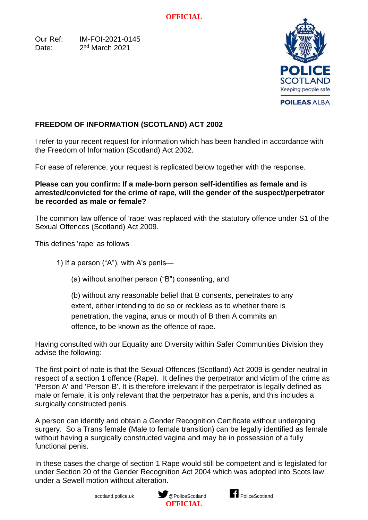Our Ref: IM-FOI-2021-0145 Date:  $2<sup>nd</sup> March 2021$ 



## **FREEDOM OF INFORMATION (SCOTLAND) ACT 2002**

I refer to your recent request for information which has been handled in accordance with the Freedom of Information (Scotland) Act 2002.

For ease of reference, your request is replicated below together with the response.

## **Please can you confirm: If a male-born person self-identifies as female and is arrested/convicted for the crime of rape, will the gender of the suspect/perpetrator be recorded as male or female?**

The common law offence of 'rape' was replaced with the statutory offence under S1 of the Sexual Offences (Scotland) Act 2009.

This defines 'rape' as follows

1) If a person ("A"), with A's penis—

(a) without another person ("B") consenting, and

(b) without any reasonable belief that B consents, penetrates to any extent, either intending to do so or reckless as to whether there is penetration, the vagina, anus or mouth of B then A commits an offence, to be known as the offence of rape.

Having consulted with our Equality and Diversity within Safer Communities Division they advise the following:

The first point of note is that the Sexual Offences (Scotland) Act 2009 is gender neutral in respect of a section 1 offence (Rape). It defines the perpetrator and victim of the crime as 'Person A' and 'Person B'. It is therefore irrelevant if the perpetrator is legally defined as male or female, it is only relevant that the perpetrator has a penis, and this includes a surgically constructed penis.

A person can identify and obtain a Gender Recognition Certificate without undergoing surgery. So a Trans female (Male to female transition) can be legally identified as female without having a surgically constructed vagina and may be in possession of a fully functional penis.

In these cases the charge of section 1 Rape would still be competent and is legislated for under Section 20 of the Gender Recognition Act 2004 which was adopted into Scots law under a Sewell motion without alteration.